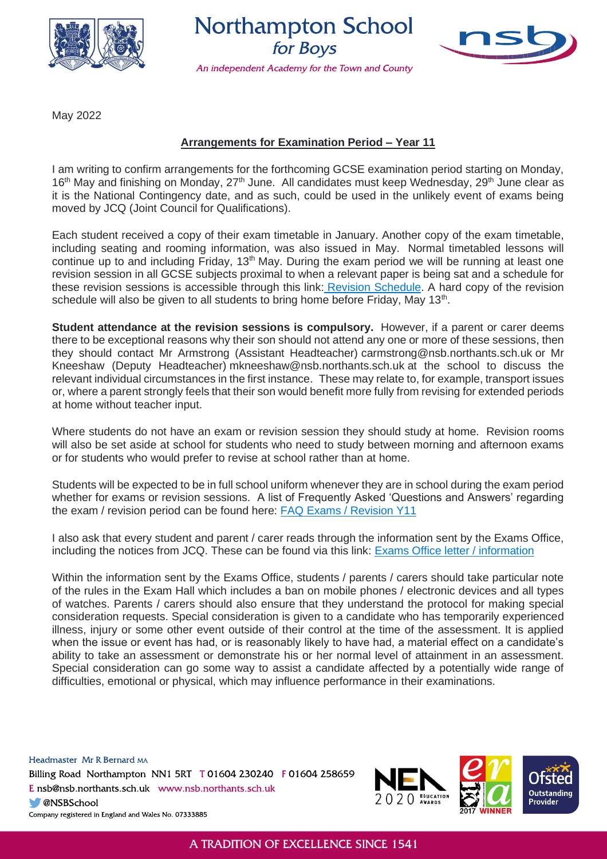

**Northampton School** for Boys

An independent Academy for the Town and County



May 2022

## **Arrangements for Examination Period – Year 11**

I am writing to confirm arrangements for the forthcoming GCSE examination period starting on Monday, 16<sup>th</sup> May and finishing on Monday, 27<sup>th</sup> June. All candidates must keep Wednesday, 29<sup>th</sup> June clear as it is the National Contingency date, and as such, could be used in the unlikely event of exams being moved by JCQ (Joint Council for Qualifications).

Each student received a copy of their exam timetable in January. Another copy of the exam timetable, including seating and rooming information, was also issued in May. Normal timetabled lessons will continue up to and including Friday, 13<sup>th</sup> May. During the exam period we will be running at least one revision session in all GCSE subjects proximal to when a relevant paper is being sat and a schedule for these revision sessions is accessible through this link: [Revision Schedule.](https://northamptonschoolforboys-my.sharepoint.com/:b:/g/personal/ssn_nsb_northants_sch_uk/EbqFggBH3jtAm82B_yAXo5gBBUv942lmMSneY56C9pnUkg) A hard copy of the revision schedule will also be given to all students to bring home before Friday, May 13<sup>th</sup>.

**Student attendance at the revision sessions is compulsory.** However, if a parent or carer deems there to be exceptional reasons why their son should not attend any one or more of these sessions, then they should contact Mr Armstrong (Assistant Headteacher) carmstrong@nsb.northants.sch.uk or Mr Kneeshaw (Deputy Headteacher) mkneeshaw@nsb.northants.sch.uk at the school to discuss the relevant individual circumstances in the first instance. These may relate to, for example, transport issues or, where a parent strongly feels that their son would benefit more fully from revising for extended periods at home without teacher input.

Where students do not have an exam or revision session they should study at home. Revision rooms will also be set aside at school for students who need to study between morning and afternoon exams or for students who would prefer to revise at school rather than at home.

Students will be expected to be in full school uniform whenever they are in school during the exam period whether for exams or revision sessions. A list of Frequently Asked 'Questions and Answers' regarding the exam / revision period can be found here: [FAQ Exams / Revision Y11](https://northamptonschoolforboys-my.sharepoint.com/:b:/g/personal/ssn_nsb_northants_sch_uk/EbY9JtvK3ZFAvOY4vQUUZVcB_Y3yDzLoXuNFo1mH5tJCGQ)

I also ask that every student and parent / carer reads through the information sent by the Exams Office, including the notices from JCQ. These can be found via this link: [Exams Office letter / information](https://northamptonschoolforboys-my.sharepoint.com/:b:/g/personal/ssn_nsb_northants_sch_uk/ESDww1MVlzxHgtQKJ1S2hnMBcxRZ1xLPxqyYMon7FYBrNA)

Within the information sent by the Exams Office, students / parents / carers should take particular note of the rules in the Exam Hall which includes a ban on mobile phones / electronic devices and all types of watches. Parents / carers should also ensure that they understand the protocol for making special consideration requests. Special consideration is given to a candidate who has temporarily experienced illness, injury or some other event outside of their control at the time of the assessment. It is applied when the issue or event has had, or is reasonably likely to have had, a material effect on a candidate's ability to take an assessment or demonstrate his or her normal level of attainment in an assessment. Special consideration can go some way to assist a candidate affected by a potentially wide range of difficulties, emotional or physical, which may influence performance in their examinations.

Headmaster Mr R Bernard MA Billing Road Northampton NN1 5RT T01604 230240 F01604 258659 E nsb@nsb.northants.sch.uk www.nsb.northants.sch.uk **ONSBSchool** Company registered in England and Wales No. 07333885